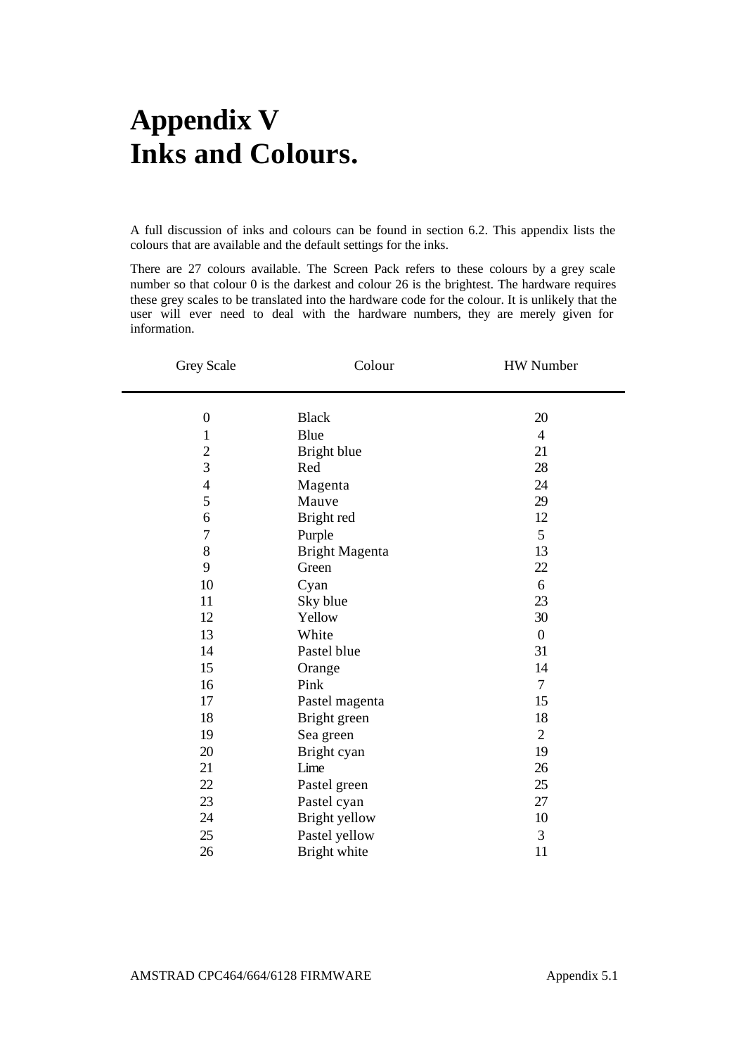## **Appendix V Inks and Colours.**

A full discussion of inks and colours can be found in section 6.2. This appendix lists the colours that are available and the default settings for the inks.

There are 27 colours available. The Screen Pack refers to these colours by a grey scale number so that colour 0 is the darkest and colour 26 is the brightest. The hardware requires these grey scales to be translated into the hardware code for the colour. It is unlikely that the user will ever need to deal with the hardware numbers, they are merely given for information.

| Grey Scale                       | Colour         | HW Number        |
|----------------------------------|----------------|------------------|
| $\overline{0}$                   | <b>Black</b>   |                  |
|                                  |                | 20               |
| $\mathbf{1}$                     | Blue           | $\overline{4}$   |
| $\overline{c}$<br>$\overline{3}$ | Bright blue    | 21               |
|                                  | Red            | 28               |
| $\overline{4}$                   | Magenta        | 24               |
| 5                                | Mauve          | 29               |
| 6                                | Bright red     | 12               |
| 7                                | Purple         | 5                |
| 8                                | Bright Magenta | 13               |
| 9                                | Green          | 22               |
| 10                               | Cyan           | 6                |
| 11                               | Sky blue       | 23               |
| 12                               | Yellow         | 30               |
| 13                               | White          | $\boldsymbol{0}$ |
| 14                               | Pastel blue    | 31               |
| 15                               | Orange         | 14               |
| 16                               | Pink           | $\tau$           |
| 17                               | Pastel magenta | 15               |
| 18                               | Bright green   | 18               |
| 19                               | Sea green      | $\overline{c}$   |
| 20                               | Bright cyan    | 19               |
| 21                               | Lime           | 26               |
| 22                               | Pastel green   | 25               |
| 23                               | Pastel cyan    | 27               |
| 24                               | Bright yellow  | 10               |
| 25                               | Pastel yellow  | 3                |
| 26                               | Bright white   | 11               |